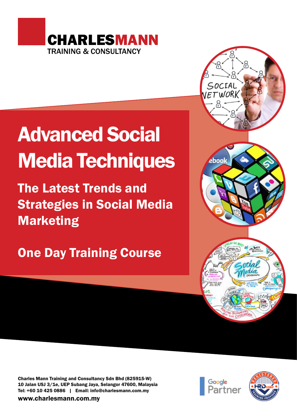

# Advanced Social Media Techniques

The Latest Trends and Strategies in Social Media Marketing

## One Day Training Course





Charles Mann Training and Consultancy Sdn Bhd (825915-W) 10 Jalan USJ 3/1e, UEP Subang Jaya, Selangor 47600, Malaysia Tel: +60 10 425 0886 | Email: info@charlesmann.com.my

www.charlesmann.com.my



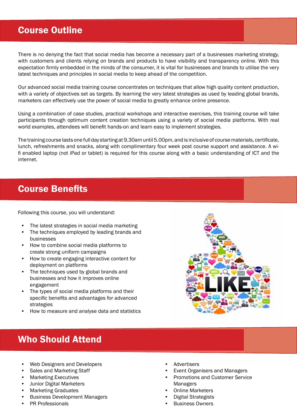#### Course Outline

There is no denying the fact that social media has become a necessary part of a businesses marketing strategy, with customers and clients relying on brands and products to have visibility and transparency online. With this expectation firmly embedded in the minds of the consumer, it is vital for businesses and brands to utilise the very latest techniques and principles in social media to keep ahead of the competition.

Our advanced social media training course concentrates on techniques that allow high quality content production, with a variety of objectives set as targets. By learning the very latest strategies as used by leading global brands, marketers can effectively use the power of social media to greatly enhance online presence.

Using a combination of case studies, practical workshops and interactive exercises, this training course will take participants through optimum content creation techniques using a variety of social media platforms. With real world examples, attendees will benefit hands-on and learn easy to implement strategies.

The training course lasts one full day starting at 9.30am until 5.00pm, and is inclusive of course materials, certificate, lunch, refreshments and snacks, along with complimentary four week post course support and assistance. A wifi enabled laptop (not iPad or tablet) is required for this course along with a basic understanding of ICT and the internet.

#### Course Benefits

Following this course, you will understand:

- The latest strategies in social media marketing
- The techniques employed by leading brands and businesses
- How to combine social media platforms to create strong uniform campaigns
- How to create engaging interactive content for deployment on platforms
- The techniques used by global brands and businesses and how it improves online engagement
- The types of social media platforms and their specific benefits and advantages for advanced strategies
- How to measure and analyse data and statistics



### Who Should Attend

- Web Designers and Developers
- Sales and Marketing Staff
- Marketing Executives
- Junior Digital Marketers
- Marketing Graduates
- Business Development Managers
- PR Professionals
- **Advertisers**
- Event Organisers and Managers
- Promotions and Customer Service Managers
- Online Marketers
- Digital Strategists
- **Business Owners**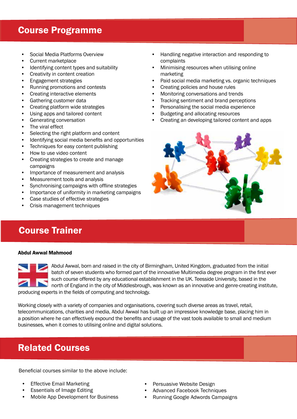#### Course Programme

- Social Media Platforms Overview
- Current marketplace
- Identifying content types and suitability
- Creativity in content creation
- Engagement strategies
- Running promotions and contests
- Creating interactive elements
- Gathering customer data
- Creating platform wide strategies
- Using apps and tailored content
- Generating conversation
- The viral effect
- Selecting the right platform and content
- Identifying social media benefits and opportunities
- Techniques for easy content publishing
- How to use video content
- Creating strategies to create and manage campaigns
- Importance of measurement and analysis
- Measurement tools and analysis
- Synchronising campaigns with offline strategies
- Importance of uniformity in marketing campaigns
- Case studies of effective strategies
- Crisis management techniques

### Course Trainer

#### Abdul Awwal Mahmood



Abdul Awwal, born and raised in the city of Birmingham, United Kingdom, graduated from the initial batch of seven students who formed part of the innovative Multimedia degree program in the first ever such course offered by any educational establishment in the UK. Teesside University, based in the north of England in the city of Middlesbrough, was known as an innovative and genre-creating institute, producing experts in the fields of computing and technology.

Working closely with a variety of companies and organisations, covering such diverse areas as travel, retail, telecommunications, charities and media, Abdul Awwal has built up an impressive knowledge base, placing him in a position where he can effectively expound the benefits and usage of the vast tools available to small and medium businesses, when it comes to utilising online and digital solutions.

### Related Courses

Beneficial courses similar to the above include:

- **Effective Email Marketing**
- Essentials of Image Editing
- Mobile App Development for Business
- Handling negative interaction and responding to complaints
- Minimising resources when utilising online marketing
- Paid social media marketing vs. organic techniques
- Creating policies and house rules
- Monitoring conversations and trends
- Tracking sentiment and brand perceptions
- Personalising the social media experience
- Budgeting and allocating resources
- Creating an developing tailored content and apps



- Persuasive Website Design
- Advanced Facebook Techniques
- Running Google Adwords Campaigns